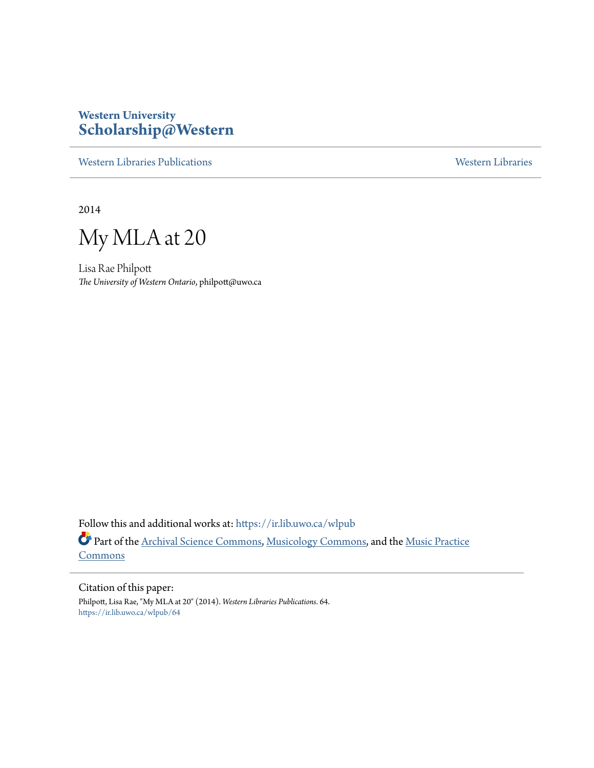# **Western University [Scholarship@Western](https://ir.lib.uwo.ca?utm_source=ir.lib.uwo.ca%2Fwlpub%2F64&utm_medium=PDF&utm_campaign=PDFCoverPages)**

[Western Libraries Publications](https://ir.lib.uwo.ca/wlpub?utm_source=ir.lib.uwo.ca%2Fwlpub%2F64&utm_medium=PDF&utm_campaign=PDFCoverPages) [Western Libraries](https://ir.lib.uwo.ca/wl?utm_source=ir.lib.uwo.ca%2Fwlpub%2F64&utm_medium=PDF&utm_campaign=PDFCoverPages)

2014

My MLA at 20

Lisa Rae Philpott *The University of Western Ontario*, philpott@uwo.ca

Follow this and additional works at: [https://ir.lib.uwo.ca/wlpub](https://ir.lib.uwo.ca/wlpub?utm_source=ir.lib.uwo.ca%2Fwlpub%2F64&utm_medium=PDF&utm_campaign=PDFCoverPages) Part of the [Archival Science Commons,](http://network.bepress.com/hgg/discipline/1021?utm_source=ir.lib.uwo.ca%2Fwlpub%2F64&utm_medium=PDF&utm_campaign=PDFCoverPages) [Musicology Commons,](http://network.bepress.com/hgg/discipline/521?utm_source=ir.lib.uwo.ca%2Fwlpub%2F64&utm_medium=PDF&utm_campaign=PDFCoverPages) and the [Music Practice](http://network.bepress.com/hgg/discipline/523?utm_source=ir.lib.uwo.ca%2Fwlpub%2F64&utm_medium=PDF&utm_campaign=PDFCoverPages) [Commons](http://network.bepress.com/hgg/discipline/523?utm_source=ir.lib.uwo.ca%2Fwlpub%2F64&utm_medium=PDF&utm_campaign=PDFCoverPages)

Citation of this paper: Philpott, Lisa Rae, "My MLA at 20" (2014). *Western Libraries Publications*. 64. [https://ir.lib.uwo.ca/wlpub/64](https://ir.lib.uwo.ca/wlpub/64?utm_source=ir.lib.uwo.ca%2Fwlpub%2F64&utm_medium=PDF&utm_campaign=PDFCoverPages)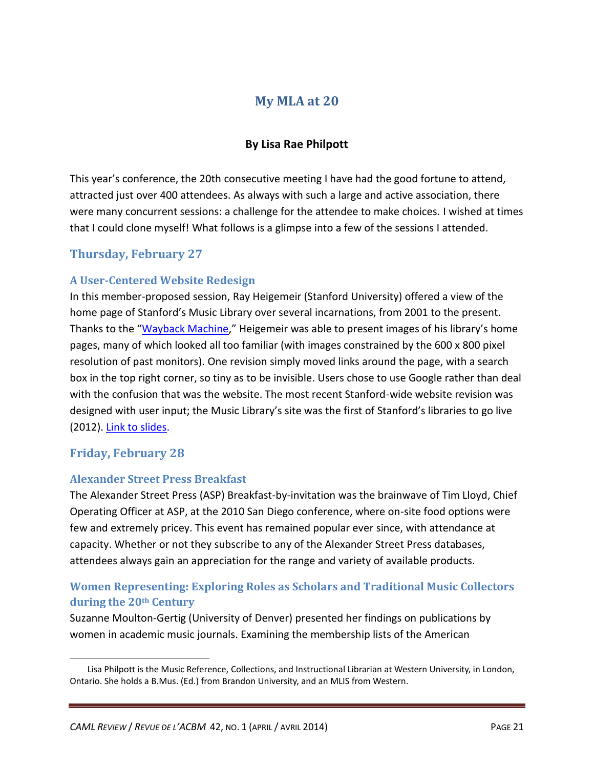## **My MLA at 20**

### **By Lisa Rae Philpott**

This year's conference, the 20th consecutive meeting I have had the good fortune to attend, attracted just over 400 attendees. As always with such a large and active association, there were many concurrent sessions: a challenge for the attendee to make choices. I wished at times that I could clone myself! What follows is a glimpse into a few of the sessions I attended.

## **Thursday, February 27**

#### **A User-Centered Website Redesign**

In this member-proposed session, Ray Heigemeir (Stanford University) offered a view of the home page of Stanford's Music Library over several incarnations, from 2001 to the present. Thanks to the "[Wayback Machine](http://archive.org/web/)," Heigemeir was able to present images of his library's home pages, many of which looked all too familiar (with images constrained by the 600 x 800 pixel resolution of past monitors). One revision simply moved links around the page, with a search box in the top right corner, so tiny as to be invisible. Users chose to use Google rather than deal with the confusion that was the website. The most recent Stanford-wide website revision was designed with user input; the Music Library's site was the first of Stanford's libraries to go live (2012). [Link to slides.](http://www.musiclibraryassoc.org/resource/collection/29180D4A-73C7-4627-A51E-DE9A2B7B18A3/Heigemeir_Slides.pptx)

### **Friday, February 28**

 $\overline{\phantom{a}}$ 

#### **Alexander Street Press Breakfast**

The Alexander Street Press (ASP) Breakfast-by-invitation was the brainwave of Tim Lloyd, Chief Operating Officer at ASP, at the 2010 San Diego conference, where on-site food options were few and extremely pricey. This event has remained popular ever since, with attendance at capacity. Whether or not they subscribe to any of the Alexander Street Press databases, attendees always gain an appreciation for the range and variety of available products.

### **Women Representing: Exploring Roles as Scholars and Traditional Music Collectors during the 20th Century**

Suzanne Moulton-Gertig (University of Denver) presented her findings on publications by women in academic music journals. Examining the membership lists of the American

Lisa Philpott is the Music Reference, Collections, and Instructional Librarian at Western University, in London, Ontario. She holds a B.Mus. (Ed.) from Brandon University, and an MLIS from Western.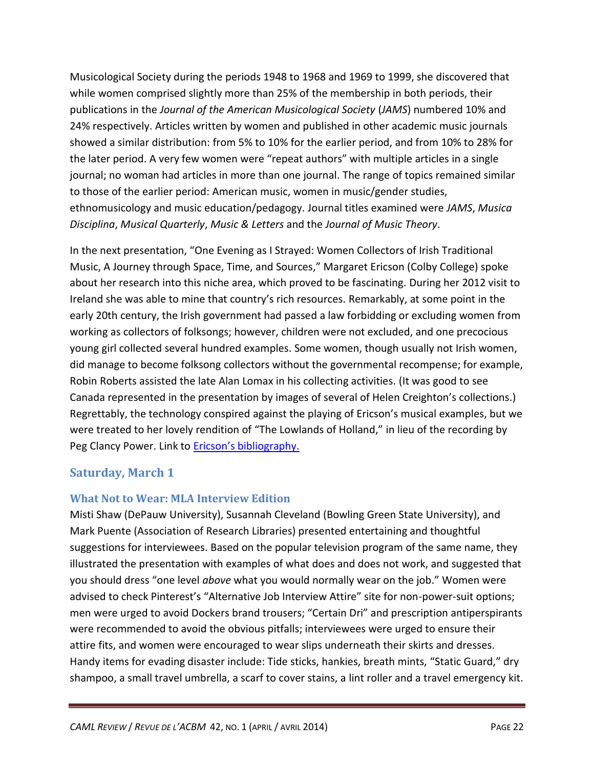Musicological Society during the periods 1948 to 1968 and 1969 to 1999, she discovered that while women comprised slightly more than 25% of the membership in both periods, their publications in the *Journal of the American Musicological Society* (*JAMS*) numbered 10% and 24% respectively. Articles written by women and published in other academic music journals showed a similar distribution: from 5% to 10% for the earlier period, and from 10% to 28% for the later period. A very few women were "repeat authors" with multiple articles in a single journal; no woman had articles in more than one journal. The range of topics remained similar to those of the earlier period: American music, women in music/gender studies, ethnomusicology and music education/pedagogy. Journal titles examined were *JAMS*, *Musica Disciplina*, *Musical Quarterly*, *Music & Letters* and the *Journal of Music Theory*.

In the next presentation, "One Evening as I Strayed: Women Collectors of Irish Traditional Music, A Journey through Space, Time, and Sources," Margaret Ericson (Colby College) spoke about her research into this niche area, which proved to be fascinating. During her 2012 visit to Ireland she was able to mine that country's rich resources. Remarkably, at some point in the early 20th century, the Irish government had passed a law forbidding or excluding women from working as collectors of folksongs; however, children were not excluded, and one precocious young girl collected several hundred examples. Some women, though usually not Irish women, did manage to become folksong collectors without the governmental recompense; for example, Robin Roberts assisted the late Alan Lomax in his collecting activities. (It was good to see Canada represented in the presentation by images of several of Helen Creighton's collections.) Regrettably, the technology conspired against the playing of Ericson's musical examples, but we were treated to her lovely rendition of "The Lowlands of Holland," in lieu of the recording by Peg Clancy Power. Link to **[Ericson's bibliography](http://c.ymcdn.com/sites/www.musiclibraryassoc.org/resource/collection/29180D4A-73C7-4627-A51E-DE9A2B7B18A3/ericson_bibliography.pdf).** 

### **Saturday, March 1**

#### **What Not to Wear: MLA Interview Edition**

Misti Shaw (DePauw University), Susannah Cleveland (Bowling Green State University), and Mark Puente (Association of Research Libraries) presented entertaining and thoughtful suggestions for interviewees. Based on the popular television program of the same name, they illustrated the presentation with examples of what does and does not work, and suggested that you should dress "one level *above* what you would normally wear on the job." Women were advised to check Pinterest's "Alternative Job Interview Attire" site for non-power-suit options; men were urged to avoid Dockers brand trousers; "Certain Dri" and prescription antiperspirants were recommended to avoid the obvious pitfalls; interviewees were urged to ensure their attire fits, and women were encouraged to wear slips underneath their skirts and dresses. Handy items for evading disaster include: Tide sticks, hankies, breath mints, "Static Guard," dry shampoo, a small travel umbrella, a scarf to cover stains, a lint roller and a travel emergency kit.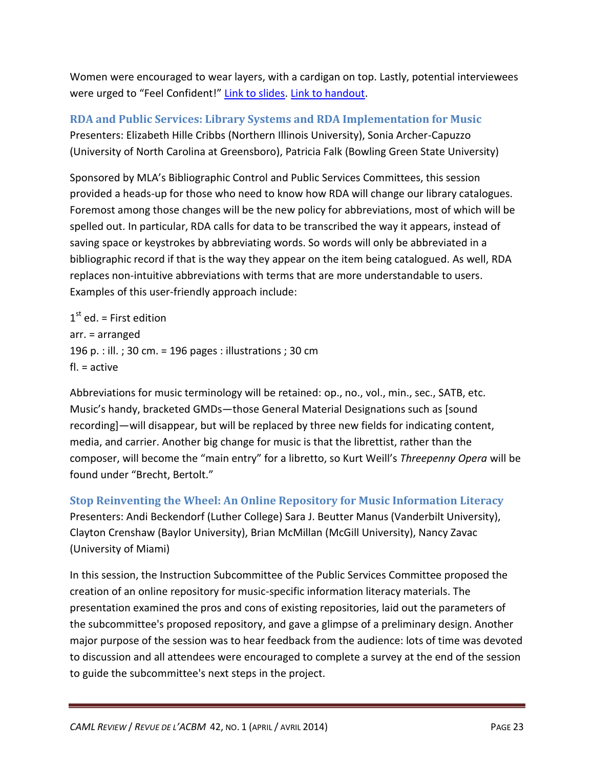Women were encouraged to wear layers, with a cardigan on top. Lastly, potential interviewees were urged to "Feel Confident!" [Link to slides.](http://www.musiclibraryassoc.org/resource/collection/29180D4A-73C7-4627-A51E-DE9A2B7B18A3/20140402_141038_23585.pptx) [Link to handout.](http://www.musiclibraryassoc.org/resource/collection/29180D4A-73C7-4627-A51E-DE9A2B7B18A3/20140402_141038_26590.docx)

**RDA and Public Services: Library Systems and RDA Implementation for Music** Presenters: Elizabeth Hille Cribbs (Northern Illinois University), Sonia Archer-Capuzzo (University of North Carolina at Greensboro), Patricia Falk (Bowling Green State University)

Sponsored by MLA's Bibliographic Control and Public Services Committees, this session provided a heads-up for those who need to know how RDA will change our library catalogues. Foremost among those changes will be the new policy for abbreviations, most of which will be spelled out. In particular, RDA calls for data to be transcribed the way it appears, instead of saving space or keystrokes by abbreviating words. So words will only be abbreviated in a bibliographic record if that is the way they appear on the item being catalogued. As well, RDA replaces non-intuitive abbreviations with terms that are more understandable to users. Examples of this user-friendly approach include:

 $1<sup>st</sup>$  ed. = First edition arr. = arranged 196 p. : ill. ; 30 cm. = 196 pages : illustrations ; 30 cm fl. = active

Abbreviations for music terminology will be retained: op., no., vol., min., sec., SATB, etc. Music's handy, bracketed GMDs—those General Material Designations such as [sound recording]—will disappear, but will be replaced by three new fields for indicating content, media, and carrier. Another big change for music is that the librettist, rather than the composer, will become the "main entry" for a libretto, so Kurt Weill's *Threepenny Opera* will be found under "Brecht, Bertolt."

**Stop Reinventing the Wheel: An Online Repository for Music Information Literacy** Presenters: Andi Beckendorf (Luther College) Sara J. Beutter Manus (Vanderbilt University), Clayton Crenshaw (Baylor University), Brian McMillan (McGill University), Nancy Zavac (University of Miami)

In this session, the Instruction Subcommittee of the Public Services Committee proposed the creation of an online repository for music-specific information literacy materials. The presentation examined the pros and cons of existing repositories, laid out the parameters of the subcommittee's proposed repository, and gave a glimpse of a preliminary design. Another major purpose of the session was to hear feedback from the audience: lots of time was devoted to discussion and all attendees were encouraged to complete a survey at the end of the session to guide the subcommittee's next steps in the project.